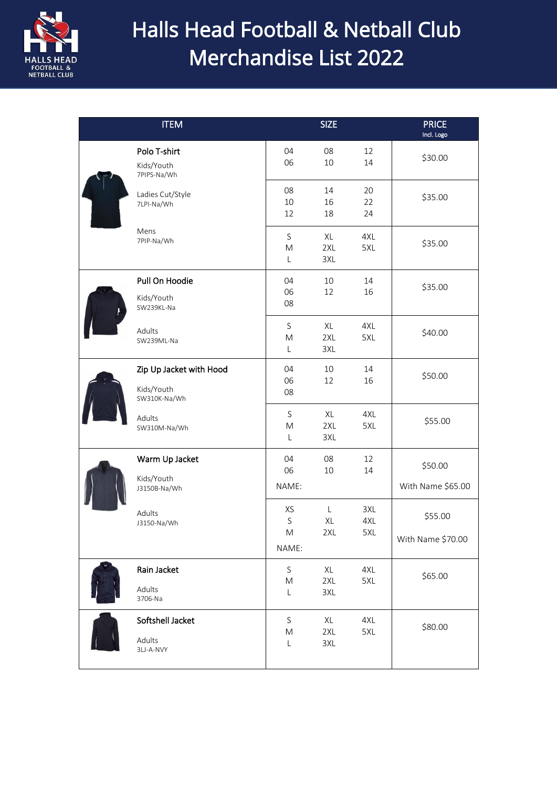

# Halls Head Football & Netball Club Merchandise List 2022

|  | <b>ITEM</b>                                           |                               | <b>SIZE</b>               |                   | <b>PRICE</b><br>Incl. Logo   |
|--|-------------------------------------------------------|-------------------------------|---------------------------|-------------------|------------------------------|
|  | Polo T-shirt<br>Kids/Youth<br>7PIPS-Na/Wh             | 04<br>06                      | 08<br>10                  | 12<br>14          | \$30.00                      |
|  | Ladies Cut/Style<br>7LPI-Na/Wh                        | 08<br>10<br>12                | 14<br>16<br>18            | 20<br>22<br>24    | \$35.00                      |
|  | Mens<br>7PIP-Na/Wh                                    | S<br>M<br>L                   | XL<br>2XL<br>3XL          | 4XL<br>5XL        | \$35.00                      |
|  | Pull On Hoodie<br>Kids/Youth<br>SW239KL-Na            | 04<br>06<br>08                | 10<br>12                  | 14<br>16          | \$35.00                      |
|  | Adults<br>SW239ML-Na                                  | S<br>M<br>$\mathsf{L}$        | XL<br>2XL<br>3XL          | 4XL<br>5XL        | \$40.00                      |
|  | Zip Up Jacket with Hood<br>Kids/Youth<br>SW310K-Na/Wh | 04<br>06<br>08                | 10<br>12                  | 14<br>16          | \$50.00                      |
|  | Adults<br>SW310M-Na/Wh                                | S<br>M<br>$\mathsf{L}$        | XL<br>2XL<br>3XL          | 4XL<br>5XL        | \$55.00                      |
|  | Warm Up Jacket<br>Kids/Youth<br>J3150B-Na/Wh          | 04<br>06<br>NAME:             | 08<br>10                  | 12<br>14          | \$50.00<br>With Name \$65.00 |
|  | Adults<br>J3150-Na/Wh                                 | XS<br>S<br>M<br>NAME:         | $\mathsf{L}$<br>XL<br>2XL | 3XL<br>4XL<br>5XL | \$55.00<br>With Name \$70.00 |
|  | Rain Jacket<br>Adults<br>3706-Na                      | S<br>${\sf M}$<br>L           | XL<br>2XL<br>3XL          | 4XL<br>5XL        | \$65.00                      |
|  | Softshell Jacket<br>Adults<br>3LJ-A-NVY               | $\mathsf S$<br>${\sf M}$<br>L | XL<br>2XL<br>3XL          | 4XL<br>5XL        | \$80.00                      |